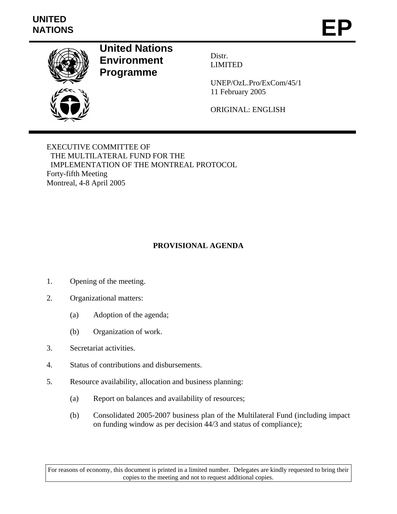## **UNITED**  UNITED<br>NATIONS **EP**



## **United Nations Environment Programme**

Distr. LIMITED

UNEP/OzL.Pro/ExCom/45/1 11 February 2005

ORIGINAL: ENGLISH

EXECUTIVE COMMITTEE OF THE MULTILATERAL FUND FOR THE IMPLEMENTATION OF THE MONTREAL PROTOCOL Forty-fifth Meeting Montreal, 4-8 April 2005

## **PROVISIONAL AGENDA**

- 1. Opening of the meeting.
- 2. Organizational matters:
	- (a) Adoption of the agenda;
	- (b) Organization of work.
- 3. Secretariat activities.
- 4. Status of contributions and disbursements.
- 5. Resource availability, allocation and business planning:
	- (a) Report on balances and availability of resources;
	- (b) Consolidated 2005-2007 business plan of the Multilateral Fund (including impact on funding window as per decision 44/3 and status of compliance);

For reasons of economy, this document is printed in a limited number. Delegates are kindly requested to bring their copies to the meeting and not to request additional copies.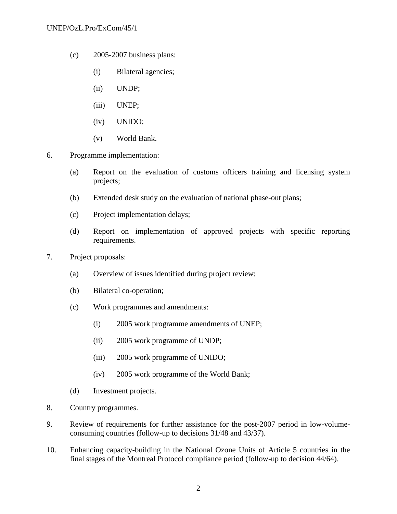- (c) 2005-2007 business plans:
	- (i) Bilateral agencies;
	- (ii) UNDP;
	- (iii) UNEP;
	- (iv) UNIDO;
	- (v) World Bank.
- 6. Programme implementation:
	- (a) Report on the evaluation of customs officers training and licensing system projects;
	- (b) Extended desk study on the evaluation of national phase-out plans;
	- (c) Project implementation delays;
	- (d) Report on implementation of approved projects with specific reporting requirements.
- 7. Project proposals:
	- (a) Overview of issues identified during project review;
	- (b) Bilateral co-operation;
	- (c) Work programmes and amendments:
		- (i) 2005 work programme amendments of UNEP;
		- (ii) 2005 work programme of UNDP;
		- (iii) 2005 work programme of UNIDO;
		- (iv) 2005 work programme of the World Bank;
	- (d) Investment projects.
- 8. Country programmes.
- 9. Review of requirements for further assistance for the post-2007 period in low-volumeconsuming countries (follow-up to decisions 31/48 and 43/37).
- 10. Enhancing capacity-building in the National Ozone Units of Article 5 countries in the final stages of the Montreal Protocol compliance period (follow-up to decision 44/64).